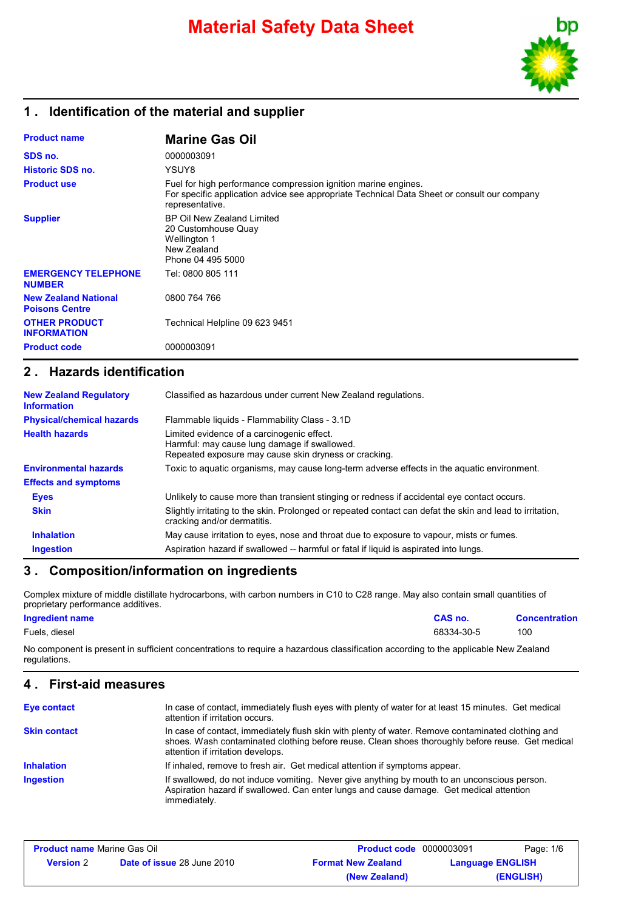# **Material Safety Data Sheet**



## **1 . Identification of the material and supplier**

| <b>Product name</b>                                  | <b>Marine Gas Oil</b>                                                                                                                                                            |
|------------------------------------------------------|----------------------------------------------------------------------------------------------------------------------------------------------------------------------------------|
| SDS no.                                              | 0000003091                                                                                                                                                                       |
| <b>Historic SDS no.</b>                              | YSUY8                                                                                                                                                                            |
| <b>Product use</b>                                   | Fuel for high performance compression ignition marine engines.<br>For specific application advice see appropriate Technical Data Sheet or consult our company<br>representative. |
| <b>Supplier</b>                                      | BP Oil New Zealand Limited<br>20 Customhouse Quay<br><b>Wellington 1</b><br>New Zealand<br>Phone 04 495 5000                                                                     |
| <b>EMERGENCY TELEPHONE</b><br><b>NUMBER</b>          | Tel: 0800 805 111                                                                                                                                                                |
| <b>New Zealand National</b><br><b>Poisons Centre</b> | 0800 764 766                                                                                                                                                                     |
| <b>OTHER PRODUCT</b><br><b>INFORMATION</b>           | Technical Helpline 09 623 9451                                                                                                                                                   |
| <b>Product code</b>                                  | 0000003091                                                                                                                                                                       |

## **2 . Hazards identification**

| <b>New Zealand Regulatory</b><br><b>Information</b> | Classified as hazardous under current New Zealand regulations.                                                                                      |
|-----------------------------------------------------|-----------------------------------------------------------------------------------------------------------------------------------------------------|
| <b>Physical/chemical hazards</b>                    | Flammable liquids - Flammability Class - 3.1D                                                                                                       |
| <b>Health hazards</b>                               | Limited evidence of a carcinogenic effect.<br>Harmful: may cause lung damage if swallowed.<br>Repeated exposure may cause skin dryness or cracking. |
| <b>Environmental hazards</b>                        | Toxic to aquatic organisms, may cause long-term adverse effects in the aquatic environment.                                                         |
| <b>Effects and symptoms</b>                         |                                                                                                                                                     |
| <b>Eyes</b>                                         | Unlikely to cause more than transient stinging or redness if accidental eye contact occurs.                                                         |
| <b>Skin</b>                                         | Slightly irritating to the skin. Prolonged or repeated contact can defat the skin and lead to irritation,<br>cracking and/or dermatitis.            |
| <b>Inhalation</b>                                   | May cause irritation to eyes, nose and throat due to exposure to vapour, mists or fumes.                                                            |
| <b>Ingestion</b>                                    | Aspiration hazard if swallowed -- harmful or fatal if liquid is aspirated into lungs.                                                               |

### **3 . Composition/information on ingredients**

Complex mixture of middle distillate hydrocarbons, with carbon numbers in C10 to C28 range. May also contain small quantities of proprietary performance additives.

| <b>Ingredient name</b> | CAS no.    | <b>Concentration</b> |
|------------------------|------------|----------------------|
| Fuels, diesel          | 68334-30-5 | 100                  |

No component is present in sufficient concentrations to require a hazardous classification according to the applicable New Zealand regulations.

#### **4 . First-aid measures**

| Eye contact         | In case of contact, immediately flush eyes with plenty of water for at least 15 minutes. Get medical<br>attention if irritation occurs.                                                                                                    |
|---------------------|--------------------------------------------------------------------------------------------------------------------------------------------------------------------------------------------------------------------------------------------|
| <b>Skin contact</b> | In case of contact, immediately flush skin with plenty of water. Remove contaminated clothing and<br>shoes. Wash contaminated clothing before reuse. Clean shoes thoroughly before reuse. Get medical<br>attention if irritation develops. |
| <b>Inhalation</b>   | If inhaled, remove to fresh air. Get medical attention if symptoms appear.                                                                                                                                                                 |
| <b>Ingestion</b>    | If swallowed, do not induce vomiting. Never give anything by mouth to an unconscious person.<br>Aspiration hazard if swallowed. Can enter lungs and cause damage. Get medical attention<br>immediately.                                    |

| <b>Product name Marine Gas Oil</b> |                                   | <b>Product code</b> 0000003091 |                         | Page: 1/6 |
|------------------------------------|-----------------------------------|--------------------------------|-------------------------|-----------|
| <b>Version</b> 2                   | <b>Date of issue 28 June 2010</b> | <b>Format New Zealand</b>      | <b>Language ENGLISH</b> |           |
|                                    |                                   | (New Zealand)                  |                         | (ENGLISH) |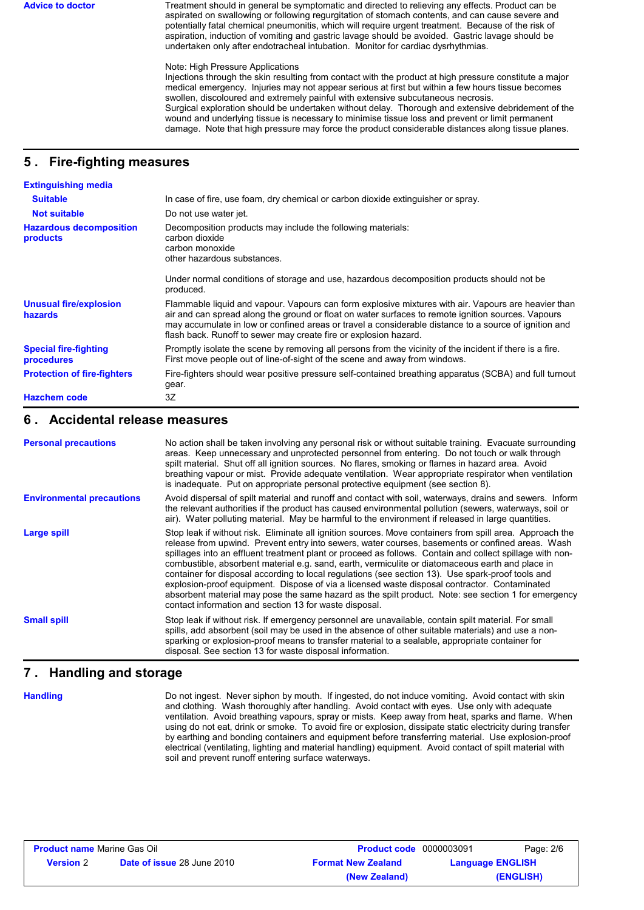Advice to doctor Treatment should in general be symptomatic and directed to relieving any effects. Product can be aspirated on swallowing or following regurgitation of stomach contents, and can cause severe and potentially fatal chemical pneumonitis, which will require urgent treatment. Because of the risk of aspiration, induction of vomiting and gastric lavage should be avoided. Gastric lavage should be undertaken only after endotracheal intubation. Monitor for cardiac dysrhythmias.

#### Note: High Pressure Applications

Injections through the skin resulting from contact with the product at high pressure constitute a major medical emergency. Injuries may not appear serious at first but within a few hours tissue becomes swollen, discoloured and extremely painful with extensive subcutaneous necrosis. Surgical exploration should be undertaken without delay. Thorough and extensive debridement of the wound and underlying tissue is necessary to minimise tissue loss and prevent or limit permanent damage. Note that high pressure may force the product considerable distances along tissue planes.

#### **5 . Fire-fighting measures**

| <b>Extinguishing media</b>                      |                                                                                                                                                                                                                                                                                                                                                                                        |
|-------------------------------------------------|----------------------------------------------------------------------------------------------------------------------------------------------------------------------------------------------------------------------------------------------------------------------------------------------------------------------------------------------------------------------------------------|
| <b>Suitable</b>                                 | In case of fire, use foam, dry chemical or carbon dioxide extinguisher or spray.                                                                                                                                                                                                                                                                                                       |
| <b>Not suitable</b>                             | Do not use water jet.                                                                                                                                                                                                                                                                                                                                                                  |
| <b>Hazardous decomposition</b><br>products      | Decomposition products may include the following materials:<br>carbon dioxide<br>carbon monoxide<br>other hazardous substances.                                                                                                                                                                                                                                                        |
|                                                 | Under normal conditions of storage and use, hazardous decomposition products should not be<br>produced.                                                                                                                                                                                                                                                                                |
| <b>Unusual fire/explosion</b><br><b>hazards</b> | Flammable liguid and vapour. Vapours can form explosive mixtures with air. Vapours are heavier than<br>air and can spread along the ground or float on water surfaces to remote ignition sources. Vapours<br>may accumulate in low or confined areas or travel a considerable distance to a source of ignition and<br>flash back. Runoff to sewer may create fire or explosion hazard. |
| <b>Special fire-fighting</b><br>procedures      | Promptly isolate the scene by removing all persons from the vicinity of the incident if there is a fire.<br>First move people out of line-of-sight of the scene and away from windows.                                                                                                                                                                                                 |
| <b>Protection of fire-fighters</b>              | Fire-fighters should wear positive pressure self-contained breathing apparatus (SCBA) and full turnout<br>gear.                                                                                                                                                                                                                                                                        |
| <b>Hazchem code</b>                             | 3Z                                                                                                                                                                                                                                                                                                                                                                                     |

#### **6 . Accidental release measures**

| <b>Personal precautions</b>      | No action shall be taken involving any personal risk or without suitable training. Evacuate surrounding<br>areas. Keep unnecessary and unprotected personnel from entering. Do not touch or walk through<br>spilt material. Shut off all ignition sources. No flares, smoking or flames in hazard area. Avoid<br>breathing vapour or mist. Provide adequate ventilation. Wear appropriate respirator when ventilation<br>is inadequate. Put on appropriate personal protective equipment (see section 8).                                                                                                                                                                                                                                                                                          |  |
|----------------------------------|----------------------------------------------------------------------------------------------------------------------------------------------------------------------------------------------------------------------------------------------------------------------------------------------------------------------------------------------------------------------------------------------------------------------------------------------------------------------------------------------------------------------------------------------------------------------------------------------------------------------------------------------------------------------------------------------------------------------------------------------------------------------------------------------------|--|
| <b>Environmental precautions</b> | Avoid dispersal of spilt material and runoff and contact with soil, waterways, drains and sewers. Inform<br>the relevant authorities if the product has caused environmental pollution (sewers, waterways, soil or<br>air). Water polluting material. May be harmful to the environment if released in large quantities.                                                                                                                                                                                                                                                                                                                                                                                                                                                                           |  |
| Large spill                      | Stop leak if without risk. Eliminate all ignition sources. Move containers from spill area. Approach the<br>release from upwind. Prevent entry into sewers, water courses, basements or confined areas. Wash<br>spillages into an effluent treatment plant or proceed as follows. Contain and collect spillage with non-<br>combustible, absorbent material e.g. sand, earth, vermiculite or diatomaceous earth and place in<br>container for disposal according to local regulations (see section 13). Use spark-proof tools and<br>explosion-proof equipment. Dispose of via a licensed waste disposal contractor. Contaminated<br>absorbent material may pose the same hazard as the spilt product. Note: see section 1 for emergency<br>contact information and section 13 for waste disposal. |  |
| <b>Small spill</b>               | Stop leak if without risk. If emergency personnel are unavailable, contain spilt material. For small<br>spills, add absorbent (soil may be used in the absence of other suitable materials) and use a non-<br>sparking or explosion-proof means to transfer material to a sealable, appropriate container for<br>disposal. See section 13 for waste disposal information.                                                                                                                                                                                                                                                                                                                                                                                                                          |  |

### **7 . Handling and storage**

**Handling**

Do not ingest. Never siphon by mouth. If ingested, do not induce vomiting. Avoid contact with skin and clothing. Wash thoroughly after handling. Avoid contact with eyes. Use only with adequate ventilation. Avoid breathing vapours, spray or mists. Keep away from heat, sparks and flame. When using do not eat, drink or smoke. To avoid fire or explosion, dissipate static electricity during transfer by earthing and bonding containers and equipment before transferring material. Use explosion-proof electrical (ventilating, lighting and material handling) equipment. Avoid contact of spilt material with soil and prevent runoff entering surface waterways.

| <b>Product name Marine Gas Oil</b> |                                   | <b>Product code</b> 0000003091 | Page: 2/6               |
|------------------------------------|-----------------------------------|--------------------------------|-------------------------|
| <b>Version</b> 2                   | <b>Date of issue 28 June 2010</b> | <b>Format New Zealand</b>      | <b>Language ENGLISH</b> |
|                                    |                                   | (New Zealand)                  | (ENGLISH)               |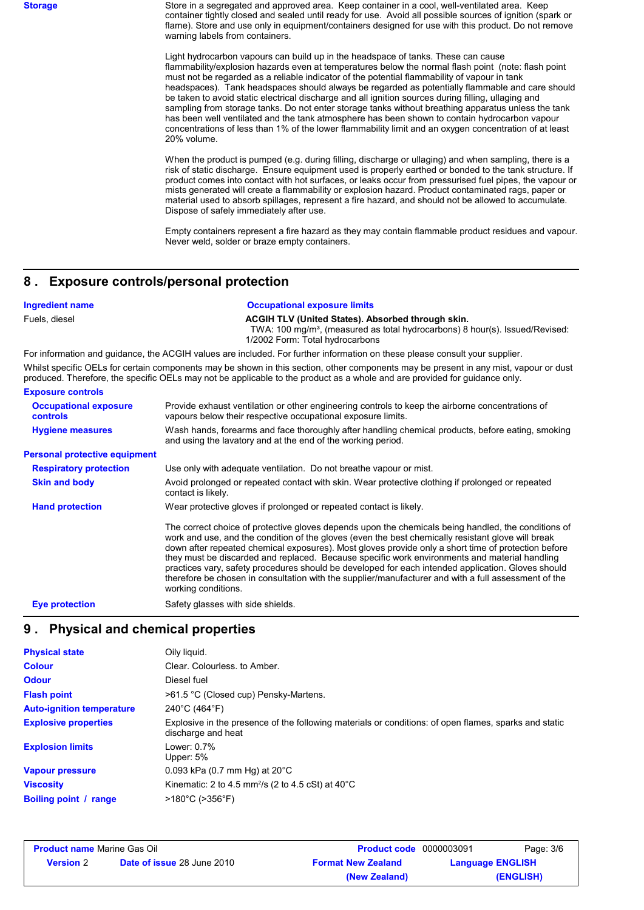**Storage** Store in a segregated and approved area. Keep container in a cool, well-ventilated area. Keep container tightly closed and sealed until ready for use. Avoid all possible sources of ignition (spark or flame). Store and use only in equipment/containers designed for use with this product. Do not remove warning labels from containers.

> Light hydrocarbon vapours can build up in the headspace of tanks. These can cause flammability/explosion hazards even at temperatures below the normal flash point (note: flash point must not be regarded as a reliable indicator of the potential flammability of vapour in tank headspaces). Tank headspaces should always be regarded as potentially flammable and care should be taken to avoid static electrical discharge and all ignition sources during filling, ullaging and sampling from storage tanks. Do not enter storage tanks without breathing apparatus unless the tank has been well ventilated and the tank atmosphere has been shown to contain hydrocarbon vapour concentrations of less than 1% of the lower flammability limit and an oxygen concentration of at least 20% volume.

> When the product is pumped (e.g. during filling, discharge or ullaging) and when sampling, there is a risk of static discharge. Ensure equipment used is properly earthed or bonded to the tank structure. If product comes into contact with hot surfaces, or leaks occur from pressurised fuel pipes, the vapour or mists generated will create a flammability or explosion hazard. Product contaminated rags, paper or material used to absorb spillages, represent a fire hazard, and should not be allowed to accumulate. Dispose of safely immediately after use.

> Empty containers represent a fire hazard as they may contain flammable product residues and vapour. Never weld, solder or braze empty containers.

#### **8 . Exposure controls/personal protection**

#### **Ingredient name** *Occupational exposure limits*

Fuels, diesel **ACGIH TLV (United States). Absorbed through skin.**

TWA: 100 mg/m<sup>3</sup>, (measured as total hydrocarbons) 8 hour(s). Issued/Revised: 1/2002 Form: Total hydrocarbons

For information and guidance, the ACGIH values are included. For further information on these please consult your supplier. Whilst specific OELs for certain components may be shown in this section, other components may be present in any mist, vapour or dust produced. Therefore, the specific OELs may not be applicable to the product as a whole and are provided for guidance only.

#### **Exposure controls**

| <b>Occupational exposure</b><br><b>controls</b> | Provide exhaust ventilation or other engineering controls to keep the airborne concentrations of<br>vapours below their respective occupational exposure limits.                                                                                                                                                                                                                                                                                                                                                                                                                                                                                       |
|-------------------------------------------------|--------------------------------------------------------------------------------------------------------------------------------------------------------------------------------------------------------------------------------------------------------------------------------------------------------------------------------------------------------------------------------------------------------------------------------------------------------------------------------------------------------------------------------------------------------------------------------------------------------------------------------------------------------|
| <b>Hygiene measures</b>                         | Wash hands, forearms and face thoroughly after handling chemical products, before eating, smoking<br>and using the lavatory and at the end of the working period.                                                                                                                                                                                                                                                                                                                                                                                                                                                                                      |
| <b>Personal protective equipment</b>            |                                                                                                                                                                                                                                                                                                                                                                                                                                                                                                                                                                                                                                                        |
| <b>Respiratory protection</b>                   | Use only with adequate ventilation. Do not breathe vapour or mist.                                                                                                                                                                                                                                                                                                                                                                                                                                                                                                                                                                                     |
| <b>Skin and body</b>                            | Avoid prolonged or repeated contact with skin. Wear protective clothing if prolonged or repeated<br>contact is likely.                                                                                                                                                                                                                                                                                                                                                                                                                                                                                                                                 |
| <b>Hand protection</b>                          | Wear protective gloves if prolonged or repeated contact is likely.                                                                                                                                                                                                                                                                                                                                                                                                                                                                                                                                                                                     |
|                                                 | The correct choice of protective gloves depends upon the chemicals being handled, the conditions of<br>work and use, and the condition of the gloves (even the best chemically resistant glove will break<br>down after repeated chemical exposures). Most gloves provide only a short time of protection before<br>they must be discarded and replaced. Because specific work environments and material handling<br>practices vary, safety procedures should be developed for each intended application. Gloves should<br>therefore be chosen in consultation with the supplier/manufacturer and with a full assessment of the<br>working conditions. |
| <b>Eye protection</b>                           | Safety glasses with side shields.                                                                                                                                                                                                                                                                                                                                                                                                                                                                                                                                                                                                                      |
|                                                 |                                                                                                                                                                                                                                                                                                                                                                                                                                                                                                                                                                                                                                                        |

### **9 . Physical and chemical properties**

| <b>Physical state</b>            | Oily liquid.                                                                                                                |
|----------------------------------|-----------------------------------------------------------------------------------------------------------------------------|
| <b>Colour</b>                    | Clear. Colourless, to Amber.                                                                                                |
| <b>Odour</b>                     | Diesel fuel                                                                                                                 |
| <b>Flash point</b>               | >61.5 °C (Closed cup) Pensky-Martens.                                                                                       |
| <b>Auto-ignition temperature</b> | $240^{\circ}$ C (464 $^{\circ}$ F)                                                                                          |
| <b>Explosive properties</b>      | Explosive in the presence of the following materials or conditions: of open flames, sparks and static<br>discharge and heat |
| <b>Explosion limits</b>          | Lower: 0.7%<br>Upper: 5%                                                                                                    |
| <b>Vapour pressure</b>           | 0.093 kPa (0.7 mm Hg) at $20^{\circ}$ C                                                                                     |
| <b>Viscosity</b>                 | Kinematic: 2 to 4.5 mm <sup>2</sup> /s (2 to 4.5 cSt) at $40^{\circ}$ C                                                     |
| <b>Boiling point / range</b>     | $>180^{\circ}$ C ( $>356^{\circ}$ F)                                                                                        |

| <b>Product name Marine Gas Oil</b> |                                   | <b>Product code</b> 0000003091 |                         | Page: 3/6 |
|------------------------------------|-----------------------------------|--------------------------------|-------------------------|-----------|
| <b>Version 2</b>                   | <b>Date of issue 28 June 2010</b> | <b>Format New Zealand</b>      | <b>Language ENGLISH</b> |           |
|                                    |                                   | (New Zealand)                  |                         | (ENGLISH) |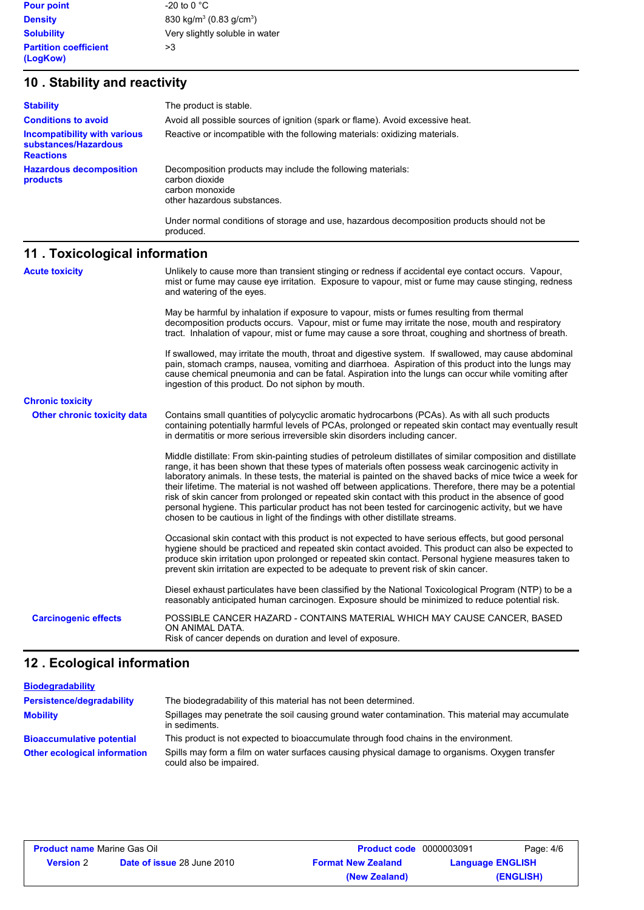**Density** 830 kg/m<sup>3</sup> (0.83 g/cm<sup>3</sup>) **Solubility** Very slightly soluble in water

# **10 . Stability and reactivity**

| <b>Stability</b><br><b>Conditions to avoid</b>                           | The product is stable.<br>Avoid all possible sources of ignition (spark or flame). Avoid excessive heat.                        |
|--------------------------------------------------------------------------|---------------------------------------------------------------------------------------------------------------------------------|
| Incompatibility with various<br>substances/Hazardous<br><b>Reactions</b> | Reactive or incompatible with the following materials: oxidizing materials.                                                     |
| <b>Hazardous decomposition</b><br>products                               | Decomposition products may include the following materials:<br>carbon dioxide<br>carbon monoxide<br>other hazardous substances. |
|                                                                          | Under normal conditions of storage and use, hazardous decomposition products should not be<br>produced.                         |

# **11 . Toxicological information**

| <b>Acute toxicity</b>              | Unlikely to cause more than transient stinging or redness if accidental eye contact occurs. Vapour,<br>mist or fume may cause eye irritation. Exposure to vapour, mist or fume may cause stinging, redness<br>and watering of the eyes.                                                                                                                                                                                                                                                                                                                                                                                                                                                                                                     |
|------------------------------------|---------------------------------------------------------------------------------------------------------------------------------------------------------------------------------------------------------------------------------------------------------------------------------------------------------------------------------------------------------------------------------------------------------------------------------------------------------------------------------------------------------------------------------------------------------------------------------------------------------------------------------------------------------------------------------------------------------------------------------------------|
|                                    | May be harmful by inhalation if exposure to vapour, mists or fumes resulting from thermal<br>decomposition products occurs. Vapour, mist or fume may irritate the nose, mouth and respiratory<br>tract. Inhalation of vapour, mist or fume may cause a sore throat, coughing and shortness of breath.                                                                                                                                                                                                                                                                                                                                                                                                                                       |
|                                    | If swallowed, may irritate the mouth, throat and digestive system. If swallowed, may cause abdominal<br>pain, stomach cramps, nausea, vomiting and diarrhoea. Aspiration of this product into the lungs may<br>cause chemical pneumonia and can be fatal. Aspiration into the lungs can occur while vomiting after<br>ingestion of this product. Do not siphon by mouth.                                                                                                                                                                                                                                                                                                                                                                    |
| <b>Chronic toxicity</b>            |                                                                                                                                                                                                                                                                                                                                                                                                                                                                                                                                                                                                                                                                                                                                             |
| <b>Other chronic toxicity data</b> | Contains small quantities of polycyclic aromatic hydrocarbons (PCAs). As with all such products<br>containing potentially harmful levels of PCAs, prolonged or repeated skin contact may eventually result<br>in dermatitis or more serious irreversible skin disorders including cancer.                                                                                                                                                                                                                                                                                                                                                                                                                                                   |
|                                    | Middle distillate: From skin-painting studies of petroleum distillates of similar composition and distillate<br>range, it has been shown that these types of materials often possess weak carcinogenic activity in<br>laboratory animals. In these tests, the material is painted on the shaved backs of mice twice a week for<br>their lifetime. The material is not washed off between applications. Therefore, there may be a potential<br>risk of skin cancer from prolonged or repeated skin contact with this product in the absence of good<br>personal hygiene. This particular product has not been tested for carcinogenic activity, but we have<br>chosen to be cautious in light of the findings with other distillate streams. |
|                                    | Occasional skin contact with this product is not expected to have serious effects, but good personal<br>hygiene should be practiced and repeated skin contact avoided. This product can also be expected to<br>produce skin irritation upon prolonged or repeated skin contact. Personal hygiene measures taken to<br>prevent skin irritation are expected to be adequate to prevent risk of skin cancer.                                                                                                                                                                                                                                                                                                                                   |
|                                    | Diesel exhaust particulates have been classified by the National Toxicological Program (NTP) to be a<br>reasonably anticipated human carcinogen. Exposure should be minimized to reduce potential risk.                                                                                                                                                                                                                                                                                                                                                                                                                                                                                                                                     |
| <b>Carcinogenic effects</b>        | POSSIBLE CANCER HAZARD - CONTAINS MATERIAL WHICH MAY CAUSE CANCER, BASED<br>ON ANIMAL DATA.<br>Risk of cancer depends on duration and level of exposure.                                                                                                                                                                                                                                                                                                                                                                                                                                                                                                                                                                                    |

# **12 . Ecological information**

| <b>Biodegradability</b>             |                                                                                                                           |
|-------------------------------------|---------------------------------------------------------------------------------------------------------------------------|
| <b>Persistence/degradability</b>    | The biodegradability of this material has not been determined.                                                            |
| <b>Mobility</b>                     | Spillages may penetrate the soil causing ground water contamination. This material may accumulate<br>in sediments.        |
| <b>Bioaccumulative potential</b>    | This product is not expected to bioaccumulate through food chains in the environment.                                     |
| <b>Other ecological information</b> | Spills may form a film on water surfaces causing physical damage to organisms. Oxygen transfer<br>could also be impaired. |

| <b>Product name Marine Gas Oil</b> |                                   | <b>Product code</b> 0000003091 |                         | Page: 4/6 |
|------------------------------------|-----------------------------------|--------------------------------|-------------------------|-----------|
| <b>Version</b> 2                   | <b>Date of issue 28 June 2010</b> | <b>Format New Zealand</b>      | <b>Language ENGLISH</b> |           |
|                                    |                                   | (New Zealand)                  |                         | (ENGLISH) |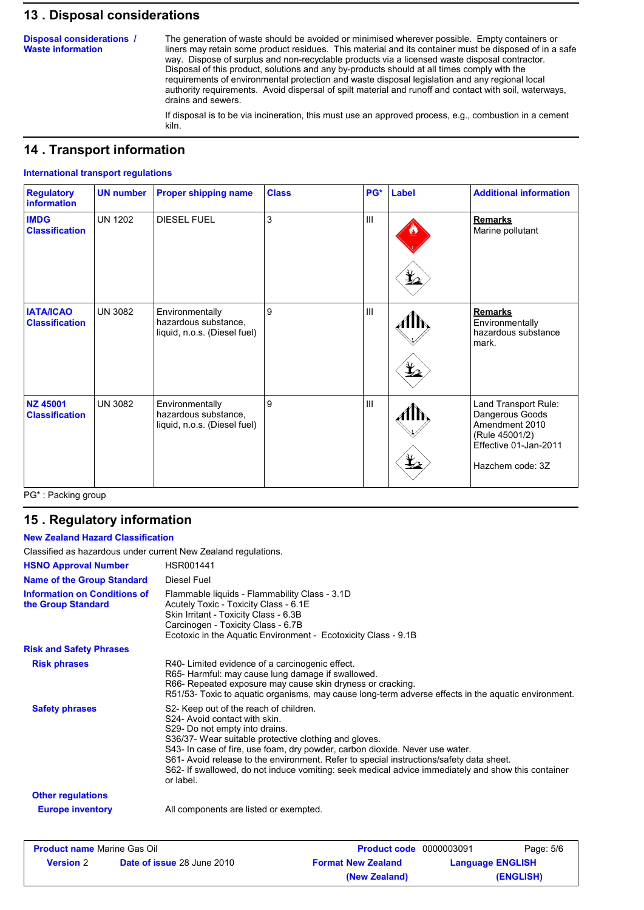### **13 . Disposal considerations**

**Disposal considerations / Waste information**

The generation of waste should be avoided or minimised wherever possible. Empty containers or liners may retain some product residues. This material and its container must be disposed of in a safe way. Dispose of surplus and non-recyclable products via a licensed waste disposal contractor. Disposal of this product, solutions and any by-products should at all times comply with the requirements of environmental protection and waste disposal legislation and any regional local authority requirements. Avoid dispersal of spilt material and runoff and contact with soil, waterways, drains and sewers.

If disposal is to be via incineration, this must use an approved process, e.g., combustion in a cement kiln.

### **14 . Transport information**

#### **International transport regulations**

| <b>Regulatory</b><br><b>information</b>   | <b>UN number</b> | <b>Proper shipping name</b>                                             | <b>Class</b> | PG* | <b>Label</b>                               | <b>Additional information</b>                                                                                            |
|-------------------------------------------|------------------|-------------------------------------------------------------------------|--------------|-----|--------------------------------------------|--------------------------------------------------------------------------------------------------------------------------|
| <b>IMDG</b><br><b>Classification</b>      | <b>UN 1202</b>   | <b>DIESEL FUEL</b>                                                      | 3            | III | $\mathbf{\mathbf{\mathbf{\mathbf{\Psi}}}}$ | <b>Remarks</b><br>Marine pollutant                                                                                       |
| <b>IATA/ICAO</b><br><b>Classification</b> | <b>UN 3082</b>   | Environmentally<br>hazardous substance,<br>liquid, n.o.s. (Diesel fuel) | 9            | Ш   | $\bigstar_{2}$                             | <b>Remarks</b><br>Environmentally<br>hazardous substance<br>mark.                                                        |
| <b>NZ 45001</b><br><b>Classification</b>  | <b>UN 3082</b>   | Environmentally<br>hazardous substance,<br>liquid, n.o.s. (Diesel fuel) | 9            | III | $\bigstar$                                 | Land Transport Rule:<br>Dangerous Goods<br>Amendment 2010<br>(Rule 45001/2)<br>Effective 01-Jan-2011<br>Hazchem code: 3Z |

PG\* : Packing group

# **15 . Regulatory information**

#### **New Zealand Hazard Classification**

Classified as hazardous under current New Zealand regulations.

| HSR001441                                                                                                                                                                                                                                                                                                                                                                                                                                                        |
|------------------------------------------------------------------------------------------------------------------------------------------------------------------------------------------------------------------------------------------------------------------------------------------------------------------------------------------------------------------------------------------------------------------------------------------------------------------|
| Diesel Fuel                                                                                                                                                                                                                                                                                                                                                                                                                                                      |
| Flammable liquids - Flammability Class - 3.1D<br>Acutely Toxic - Toxicity Class - 6.1E<br>Skin Irritant - Toxicity Class - 6.3B<br>Carcinogen - Toxicity Class - 6.7B<br>Ecotoxic in the Aquatic Environment - Ecotoxicity Class - 9.1B                                                                                                                                                                                                                          |
|                                                                                                                                                                                                                                                                                                                                                                                                                                                                  |
| R40- Limited evidence of a carcinogenic effect.<br>R65- Harmful: may cause lung damage if swallowed.<br>R66- Repeated exposure may cause skin dryness or cracking.<br>R51/53- Toxic to aquatic organisms, may cause long-term adverse effects in the aquatic environment.                                                                                                                                                                                        |
| S2- Keep out of the reach of children.<br>S24- Avoid contact with skin.<br>S29- Do not empty into drains.<br>S36/37- Wear suitable protective clothing and gloves.<br>S43- In case of fire, use foam, dry powder, carbon dioxide. Never use water.<br>S61- Avoid release to the environment. Refer to special instructions/safety data sheet.<br>S62- If swallowed, do not induce vomiting: seek medical advice immediately and show this container<br>or label. |
|                                                                                                                                                                                                                                                                                                                                                                                                                                                                  |
| All components are listed or exempted.                                                                                                                                                                                                                                                                                                                                                                                                                           |
|                                                                                                                                                                                                                                                                                                                                                                                                                                                                  |

| <b>Product name Marine Gas Oil</b> |                                   | <b>Product code</b> 0000003091 |                         | Page: 5/6 |
|------------------------------------|-----------------------------------|--------------------------------|-------------------------|-----------|
| <b>Version 2</b>                   | <b>Date of issue 28 June 2010</b> | <b>Format New Zealand</b>      | <b>Language ENGLISH</b> |           |
|                                    |                                   | (New Zealand)                  |                         | (ENGLISH) |